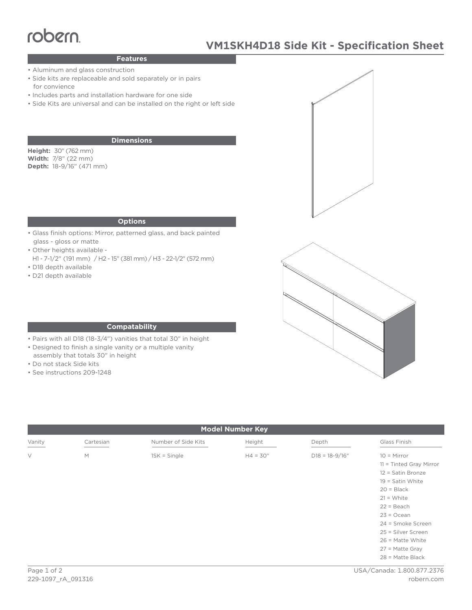# robern

# **VM1SKH4D18 Side Kit - Specification Sheet**

### **Features**

- Aluminum and glass construction
- Side kits are replaceable and sold separately or in pairs for convience
- Includes parts and installation hardware for one side
- Side Kits are universal and can be installed on the right or left side

#### **Dimensions**

**Height:** 30" (762 mm) **Width:** 7/8" (22 mm) **Depth:** 18-9/16" (471 mm)

#### **Options**

- Glass finish options: Mirror, patterned glass, and back painted glass - gloss or matte
- Other heights available -
- H1 7-1/2" (191 mm) / H2 15" (381 mm) / H3 22-1/2" (572 mm) • D18 depth available
- D21 depth available





#### **Compatability**

- Pairs with all D18 (18-3/4") vanities that total 30" in height
- Designed to finish a single vanity or a multiple vanity
- assembly that totals 30" in height
- Do not stack Side kits
- See instructions 209-1248

| <b>Model Number Key</b> |           |                     |            |                    |                                                                                                                                                                                                                                                                 |
|-------------------------|-----------|---------------------|------------|--------------------|-----------------------------------------------------------------------------------------------------------------------------------------------------------------------------------------------------------------------------------------------------------------|
| Vanity                  | Cartesian | Number of Side Kits | Height     | Depth              | Glass Finish                                                                                                                                                                                                                                                    |
| $\vee$                  | M         | $1SK = Single$      | $H4 = 30"$ | $D18 = 18 - 9/16"$ | $10 =$ Mirror<br>11 = Tinted Gray Mirror<br>12 = Satin Bronze<br>$19 =$ Satin White<br>$20 = Black$<br>$21 = White$<br>$22 = Beach$<br>$23 = Ocean$<br>24 = Smoke Screen<br>25 = Silver Screen<br>$26$ = Matte White<br>$27$ = Matte Gray<br>$28$ = Matte Black |